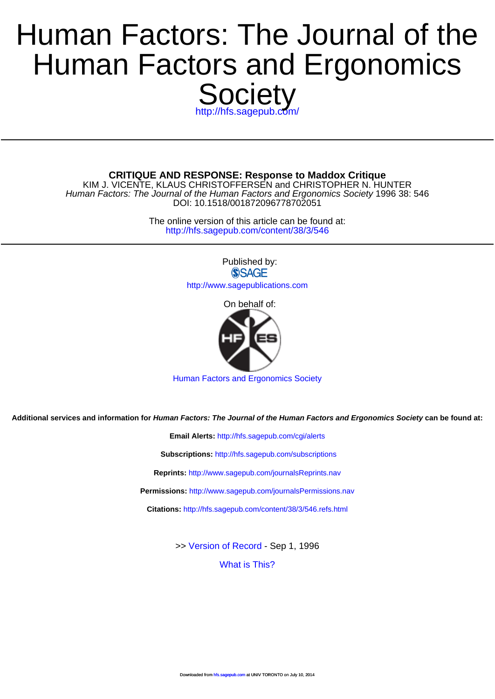# **Society** Human Factors and Ergonomics Human Factors: The Journal of the

<http://hfs.sagepub.com/>

### **CRITIQUE AND RESPONSE: Response to Maddox Critique**

DOI: 10.1518/001872096778702051 Human Factors: The Journal of the Human Factors and Ergonomics Society 1996 38: 546 KIM J. VICENTE, KLAUS CHRISTOFFERSEN and CHRISTOPHER N. HUNTER

> <http://hfs.sagepub.com/content/38/3/546> The online version of this article can be found at:

> > Published by: **SSAGE**

<http://www.sagepublications.com>

On behalf of:



[Human Factors and Ergonomics Society](http://www.hfes.org)

**Additional services and information for Human Factors: The Journal of the Human Factors and Ergonomics Society can be found at:**

**Email Alerts:** <http://hfs.sagepub.com/cgi/alerts>

**Subscriptions:** <http://hfs.sagepub.com/subscriptions>

**Reprints:** <http://www.sagepub.com/journalsReprints.nav>

**Permissions:** <http://www.sagepub.com/journalsPermissions.nav>

**Citations:** <http://hfs.sagepub.com/content/38/3/546.refs.html>

>> [Version of Record -](http://hfs.sagepub.com/content/38/3/546.full.pdf) Sep 1, 1996

[What is This?](http://online.sagepub.com/site/sphelp/vorhelp.xhtml)

Downloaded from [hfs.sagepub.com](http://hfs.sagepub.com/) at UNIV TORONTO on July 10, 2014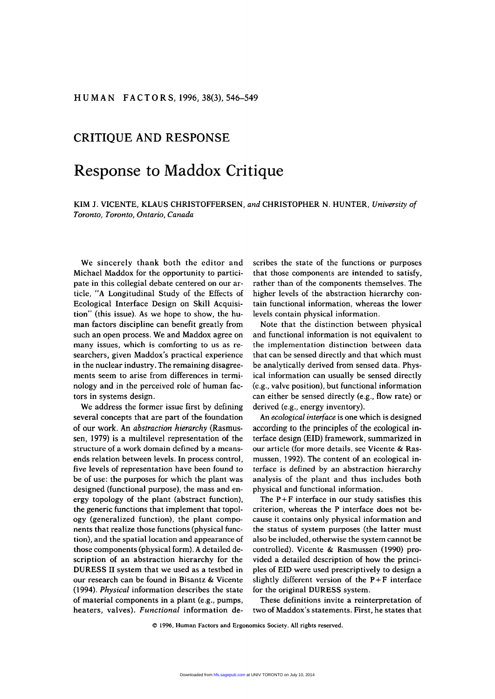## **CRITIQUE AND RESPONSE**

# **Response to Maddox Critique**

KIM J. VICENTE, KLAUS CHRISTOFFERSEN, *and* CHRISTOPHER N. HUNTER, *University* of *Toronto, Toronto, Ontario, Canada*

We sincerely thank both the editor and Michael Maddox for the opportunity to participate in this collegial debate centered on our article, "A Longitudinal Study of the Effects of Ecological Interface Design on Skill Acquisition" (this issue). As we hope to show, the human factors discipline can benefit greatly from such an open process. We and Maddox agree on many issues, which is comforting to us as researchers, given Maddox's practical experience in the nuclear industry. The remaining disagreements seem to arise from differences in terminology and in the perceived role of human factors in systems design.

We address the former issue first by defining several concepts that are part of the foundation of our work. An *abstraction hierarchy* (Rasmussen, 1979) is a multilevel representation of the structure of a work domain defined by a meansends relation between levels. In process control, five levels of representation have been found to be of use: the purposes for which the plant was designed (functional purpose), the mass and energy topology of the plant (abstract function), the generic functions that implement that topology (generalized function), the plant components that realize those functions (physical function), and the spatial location and appearance of those components (physical form). A detailed description of an abstraction hierarchy for the DURESS II system that we used as a testbed in our research can be found in Bisantz & Vicente *(1994). Physical* information describes the state of material components in a plant (e.g., pumps, heaters, valves). *Functional* information describes the state of the functions or purposes that those components are intended to satisfy, rather than of the components themselves. The higher levels of the abstraction hierarchy contain functional information, whereas the lower levels contain physical information.

Note that the distinction between physical and functional information is not equivalent to the implementation distinction between data that can be sensed directly and that which must be analytically derived from sensed data. Physical information can usually be sensed directly (e.g., valve position), but functional information can either be sensed directly (e.g., flow rate) or derived (e.g., energy inventory).

An *ecological interface* is one which is designed according to the principles of the ecological interface design (EIO) framework, summarized in our article (for more details, see Vicente & Rasmussen, 1992). The content of an ecological interface is defined by an abstraction hierarchy analysis of the plant and thus includes both physical and functional information.

The  $P + F$  interface in our study satisfies this criterion, whereas the P interface does not because it contains only physical information and the status of system purposes (the latter must also be included, otherwise the system cannot be controlled). Vicente & Rasmussen (1990) provided a detailed description of how the principles of EID were used prescriptively to design a slightly different version of the  $P+F$  interface for the original DURESS system.

These definitions invite a reinterpretation of two of Maddox's statements. First, he states that

© 1996, Human Factors and Ergonomics Society. All rights reserved.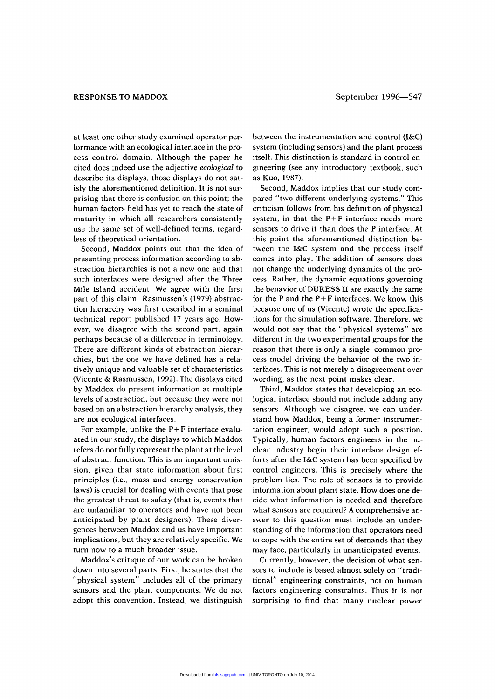#### RESPONSE TO MADDOX

at least one other study examined operator performance with an ecological interface in the process control domain. Although the paper he cited does indeed use the adjective *ecological* to describe its displays, those displays do not satisfy the aforementioned definition. It is not surprising that there is confusion on this point; the human factors field has yet to reach the state of maturity in which all researchers consistently use the same set of well-defined terms, regardless of theoretical orientation.

Second, Maddox points out that the idea of presenting process information according to abstraction hierarchies is not a new one and that such interfaces were designed after the Three Mile Island accident. We agree with the first part of this claim; Rasmussen's (1979) abstraction hierarchy was first described in a seminal technical report published 17 years ago. However, we disagree with the second part, again perhaps because of a difference in terminology. There are different kinds of abstraction hierarchies, but the one we have defined has a relatively unique and valuable set of characteristics (Vicente & Rasmussen, 1992).The displays cited by Maddox do present information at multiple levels of abstraction, but because they were not based on an abstraction hierarchy analysis, they are not ecological interfaces.

For example, unlike the  $P + F$  interface evaluated in our study, the displays to which Maddox refers do not fully represent the plant at the level of abstract function. This is an important omission, given that state information about first principles (i.e., mass and energy conservation laws) is crucial for dealing with events that pose the greatest threat to safety (that is, events that are unfamiliar to operators and have not been anticipated by plant designers). These divergences between Maddox and us have important implications, but they are relatively specific. We turn now to a much broader issue.

Maddox's critique of our work can be broken down into several parts. First, he states that the "physical system" includes all of the primary sensors and the plant components. We do not adopt this convention. Instead, we distinguish

between the instrumentation and control (I&C) system (including sensors) and the plant process itself. This distinction is standard in control engineering (see any introductory textbook, such as Kuo, 1987).

Second, Maddox implies that our study compared "two different underlying systems." This criticism follows from his definition of physical system, in that the  $P + F$  interface needs more sensors to drive it than does the P interface. At this point the aforementioned distinction between the I&C system and the process itself comes into play. The addition of sensors does not change the underlying dynamics of the process. Rather, the dynamic equations governing the behavior of DURESS II are exactly the same for the P and the  $P + F$  interfaces. We know this because one of us (Vicente) wrote the specifications for the simulation software. Therefore, we would not say that the "physical systems" are different in the two experimental groups for the reason that there is only a single, common process model driving the behavior of the two interfaces. This is not merely a disagreement over wording, as the next point makes clear.

Third, Maddox states that developing an ecological interface should not include adding any sensors. Although we disagree, we can understand how Maddox, being a former instrumentation engineer, would adopt such a position. Typically, human factors engineers in the nuclear industry begin their interface design efforts after the I&C system has been specified by control engineers. This is precisely where the problem lies. The role of sensors is to provide information about plant state. How does one decide what information is needed and therefore what sensors are required? A comprehensive answer to this question must include an understanding of the information that operators need to cope with the entire set of demands that they may face, particularly in unanticipated events.

Currently, however, the decision of what sensors to include is based almost solely on "traditional" engineering constraints, not on human factors engineering constraints. Thus it is not surprising to find that many nuclear power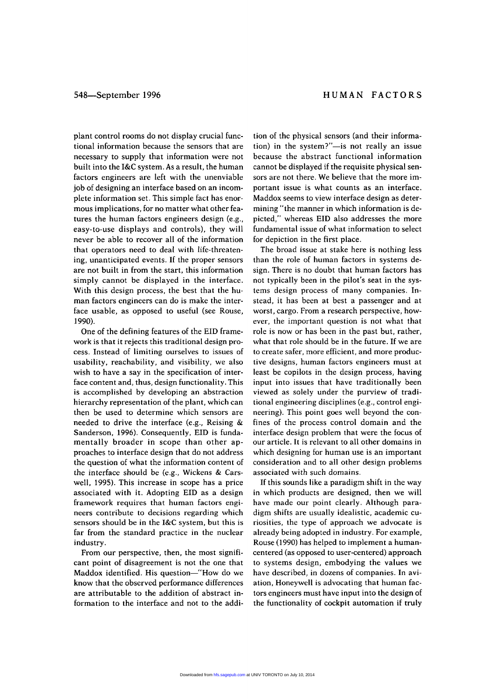plant control rooms do not display crucial functional information because the sensors that are necessary to supply that information were not built into the I&C system. As a result, the human factors engineers are left with the unenviable job of designing an interface based on an incomplete information set. This simple fact has enormous implications, for no matter what other features the human factors engineers design (e.g., easy-to-use displays and controls), they will never be able to recover all of the information that operators need to deal with life-threatening, unanticipated events. If the proper sensors are not built in from the start, this information simply cannot be displayed in the interface. With this design process, the best that the human factors engineers can do is make the interface usable, as opposed to useful (see Rouse, 1990).

One of the defining features of the EID framework is that it rejects this traditional design process. Instead of limiting ourselves to issues of usability, reachability, and visibility, we also wish to have a say in the specification of interface content and, thus, design functionality. This is accomplished by developing an abstraction hierarchy representation of the plant, which can then be used to determine which sensors are needed to drive the interface (e.g., Reising & Sanderson, 1996). Consequently, EID is fundamentally broader in scope than other approaches to interface design that do not address the question of what the information content of the interface should be (e.g., Wickens & Carswell, 1995). This increase in scope has a price associated with it. Adopting EID as a design framework requires that human factors engineers contribute to decisions regarding which sensors should be in the I&C system, but this is far from the standard practice in the nuclear industry.

From our perspective, then, the most significant point of disagreement is not the one that Maddox identified. His question-"How do we know that the observed performance differences are attributable to the addition of abstract information to the interface and not to the addition of the physical sensors (and their information) in the system?"-is not really an issue because the abstract functional information cannot be displayed if the requisite physical sensors are not there. We believe that the more important issue is what counts as an interface. Maddox seems to view interface design as determining "the manner in which information is depicted," whereas EID also addresses the more fundamental issue of what information to select for depiction in the first place.

The broad issue at stake here is nothing less than the role of human factors in systems design. There is no doubt that human factors has not typically been in the pilot's seat in the systems design process of many companies. Instead, it has been at best a passenger and at worst, cargo. From a research perspective, however, the important question is not what that role is now or has been in the past but, rather, what that role should be in the future. If we are to create safer, more efficient, and more productive designs, human factors engineers must at least be copilots in the design process, having input into issues that have traditionally been viewed as solely under the purview of traditional engineering disciplines (e.g., control engineering). This point goes well beyond the confines of the process control domain and the interface design problem that were the focus of our article. It is relevant to all other domains in which designing for human use is an important consideration and to all other design problems associated with such domains.

If this sounds like a paradigm shift in the way in which products are designed, then we will have made our point clearly. Although paradigm shifts are usually idealistic, academic curiosities, the type of approach we advocate is already being adopted in industry. For example, Rouse (1990) has helped to implement a humancentered (as opposed to user-centered) approach to systems design, embodying the values we have described, in dozens of companies. In aviation, Honeywell is advocating that human factors engineers must have input into the design of the functionality of cockpit automation if truly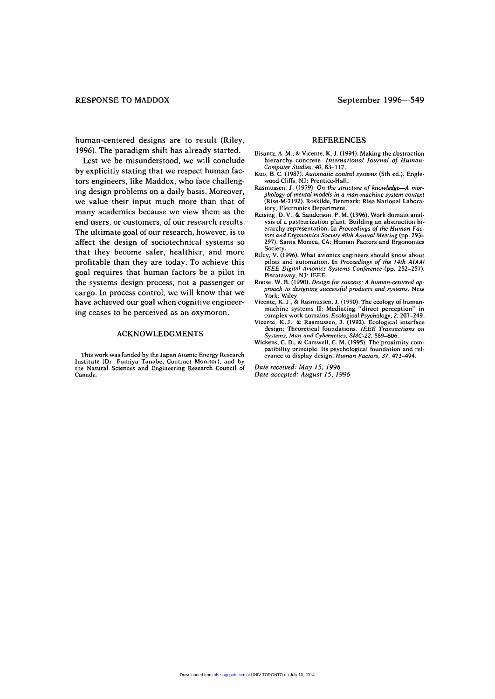#### RESPONSE TO MADDOX

human-centered designs are to result (Riley, 1996). The paradigm shift has already started.

Lest we be misunderstood, we will conclude by explicitly stating that we respect human factors engineers, like Maddox, who face challenging design problems on a daily basis. Moreover, we value their input much more than that of many academics because we view them as the end users, or customers, of our research results. The ultimate goal of our research, however, is to affect the design of sociotechnical systems so that they become safer, healthier, and more profitable than they are today. To achieve this goal requires that human factors be a pilot in the systems design process, not a passenger or cargo. In process control, we will know that we have achieved our goal when cognitive engineering ceases to be perceived as an oxymoron.

#### ACKNOWLEDGMENTS

This work was funded by the Japan Atomic Energy Research Institute (Dr. Fumiya Tanabe, Contract Monitor), and by the Natural Sciences and Engineering Research Council of Canada.

#### REFERENCES

- Bisantz, A. M., & Vicente, K. J. (1994). Making the abstraction hierarchy concrete. *International Journal of Human-Computer Studies, 40, 83-117.*
- Kuo, B. C. (1987). *Automatic control systems* (5th ed.). Englewood Cliffs, NJ: Prentice-Hall.
- Rasmussen, J. (1979). *On the strncture of knowledge-A morphology of mental models in a man-machine system context* (Rise-M-2192). Roskilde, Denmark: Rise National Laboratory, Electronics Department.
- Reising, D. V., & Sanderson, P. M. (1996). Work domain analysis of a pasteurization plant: Building an abstraction hierarchy representation. In *Proceedings of the Human Factors and Ergonomics Society 40th Annual Meeting* (pp. 293- 297). Santa Monica, CA: Human Factors and Ergonomics Society.
- Riley, V. (1996). What avionics engineers should know about pilots and automation. In *Proceedings of the 14th A/AAI IEEE Digital Avionics Systems Conference* (pp. 252-257). Piscataway, NJ: IEEE.
- Rouse, W. B. (1990). *Design for success:* A *human-centered approach to designing successful products and systems.* New York: Wiley. Vicente, K. J., & Rasmussen, J. (1990). The ecology of human-
- machine systems II: Mediating "direct perception" in complex work domains. *Ecological Psychology,* 2, 207-249.
- Vicente, K. J., & Rasmussen, J. (1992). Ecological interface design: Theoretical foundations. *IEEE Transactions on Systems, Man and Cybernetics, SMC-22,* 589~06. .
- Wickens, C. *D.,* & Carswell, C. M. (1995). The proximity compatibility principle: Its psychological foundation and relevance to display design. *Human Factors,* 37, 473-494.

*Date received: May IS, 1996 Date accepted: August* 15, 1996